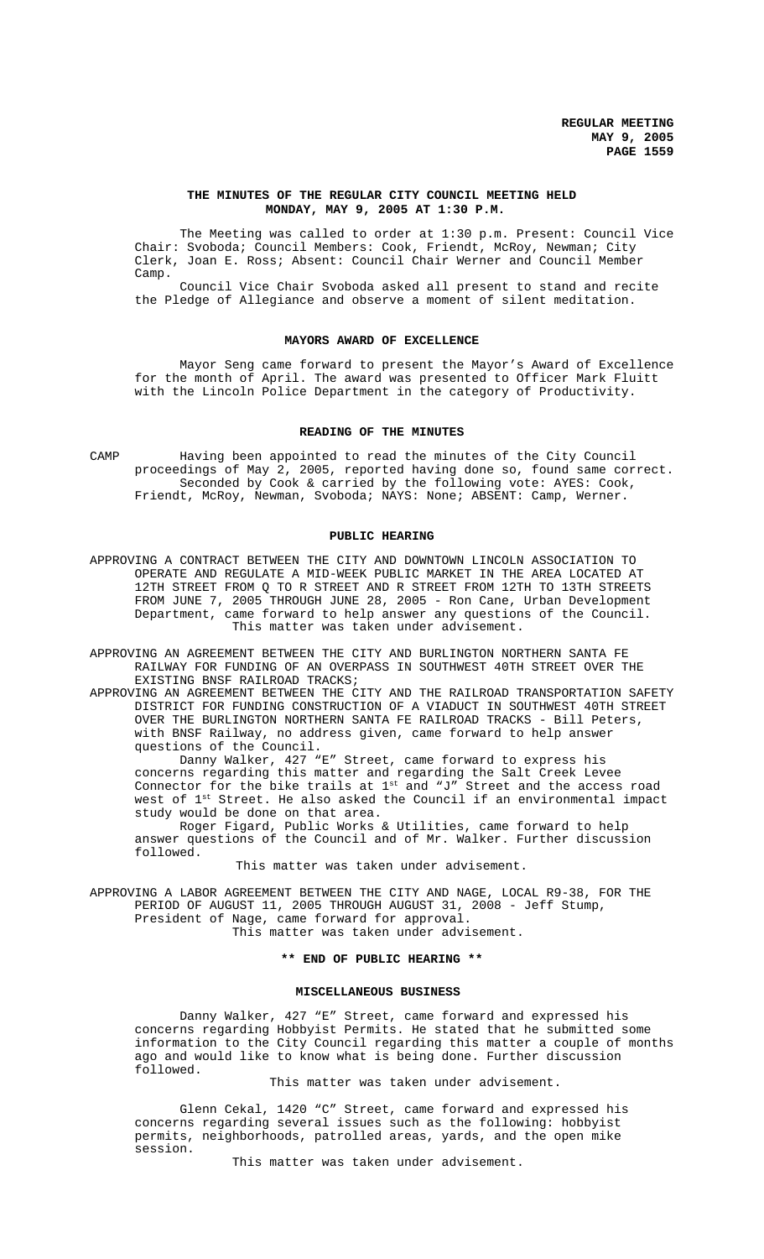## **THE MINUTES OF THE REGULAR CITY COUNCIL MEETING HELD MONDAY, MAY 9, 2005 AT 1:30 P.M.**

The Meeting was called to order at 1:30 p.m. Present: Council Vice Chair: Svoboda; Council Members: Cook, Friendt, McRoy, Newman; City Clerk, Joan E. Ross; Absent: Council Chair Werner and Council Member Camp.

Council Vice Chair Svoboda asked all present to stand and recite the Pledge of Allegiance and observe a moment of silent meditation.

#### **MAYORS AWARD OF EXCELLENCE**

Mayor Seng came forward to present the Mayor's Award of Excellence for the month of April. The award was presented to Officer Mark Fluitt with the Lincoln Police Department in the category of Productivity.

## **READING OF THE MINUTES**

CAMP Having been appointed to read the minutes of the City Council proceedings of May 2, 2005, reported having done so, found same correct. Seconded by Cook & carried by the following vote: AYES: Cook, Friendt, McRoy, Newman, Svoboda; NAYS: None; ABSENT: Camp, Werner.

## **PUBLIC HEARING**

APPROVING A CONTRACT BETWEEN THE CITY AND DOWNTOWN LINCOLN ASSOCIATION TO OPERATE AND REGULATE A MID-WEEK PUBLIC MARKET IN THE AREA LOCATED AT 12TH STREET FROM Q TO R STREET AND R STREET FROM 12TH TO 13TH STREETS FROM JUNE 7, 2005 THROUGH JUNE 28, 2005 - Ron Cane, Urban Development Department, came forward to help answer any questions of the Council. This matter was taken under advisement.

APPROVING AN AGREEMENT BETWEEN THE CITY AND BURLINGTON NORTHERN SANTA FE RAILWAY FOR FUNDING OF AN OVERPASS IN SOUTHWEST 40TH STREET OVER THE EXISTING BNSF RAILROAD TRACKS;

APPROVING AN AGREEMENT BETWEEN THE CITY AND THE RAILROAD TRANSPORTATION SAFETY DISTRICT FOR FUNDING CONSTRUCTION OF A VIADUCT IN SOUTHWEST 40TH STREET OVER THE BURLINGTON NORTHERN SANTA FE RAILROAD TRACKS - Bill Peters, with BNSF Railway, no address given, came forward to help answer questions of the Council.

Danny Walker, 427 "E" Street, came forward to express his concerns regarding this matter and regarding the Salt Creek Levee Connector for the bike trails at  $1^{\text{st}}$  and "J" Street and the access road west of 1<sup>st</sup> Street. He also asked the Council if an environmental impact study would be done on that area.

Roger Figard, Public Works & Utilities, came forward to help answer questions of the Council and of Mr. Walker. Further discussion followed.

## This matter was taken under advisement.

APPROVING A LABOR AGREEMENT BETWEEN THE CITY AND NAGE, LOCAL R9-38, FOR THE PERIOD OF AUGUST 11, 2005 THROUGH AUGUST 31, 2008 - Jeff Stump, President of Nage, came forward for approval.

This matter was taken under advisement.

## **\*\* END OF PUBLIC HEARING \*\***

## **MISCELLANEOUS BUSINESS**

Danny Walker, 427 "E" Street, came forward and expressed his concerns regarding Hobbyist Permits. He stated that he submitted some information to the City Council regarding this matter a couple of months ago and would like to know what is being done. Further discussion followed.

This matter was taken under advisement.

Glenn Cekal, 1420 "C" Street, came forward and expressed his concerns regarding several issues such as the following: hobbyist permits, neighborhoods, patrolled areas, yards, and the open mike session.

This matter was taken under advisement.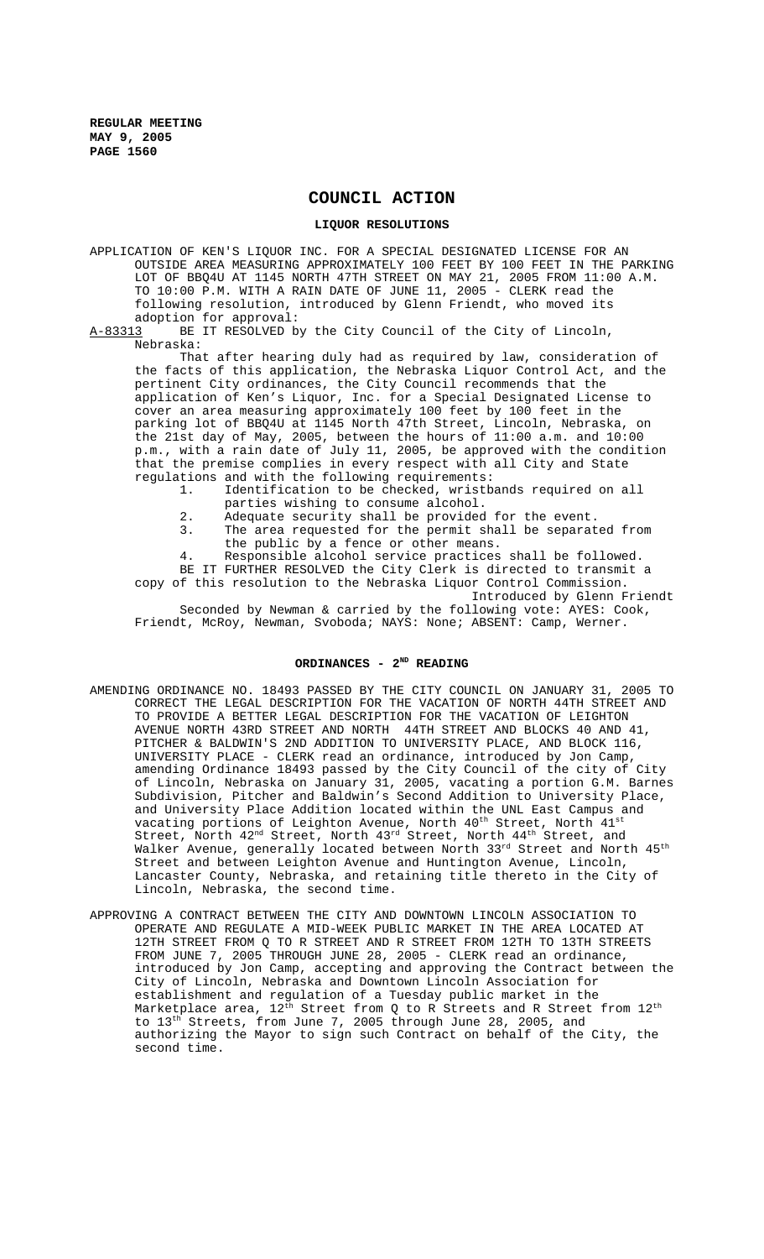# **COUNCIL ACTION**

#### **LIQUOR RESOLUTIONS**

APPLICATION OF KEN'S LIQUOR INC. FOR A SPECIAL DESIGNATED LICENSE FOR AN OUTSIDE AREA MEASURING APPROXIMATELY 100 FEET BY 100 FEET IN THE PARKING LOT OF BBQ4U AT 1145 NORTH 47TH STREET ON MAY 21, 2005 FROM 11:00 A.M. TO 10:00 P.M. WITH A RAIN DATE OF JUNE 11, 2005 - CLERK read the following resolution, introduced by Glenn Friendt, who moved its adoption for approval:<br>A-83313 BE IT RESOLVED b

BE IT RESOLVED by the City Council of the City of Lincoln, Nebraska:

That after hearing duly had as required by law, consideration of the facts of this application, the Nebraska Liquor Control Act, and the pertinent City ordinances, the City Council recommends that the application of Ken's Liquor, Inc. for a Special Designated License to cover an area measuring approximately 100 feet by 100 feet in the parking lot of BBQ4U at 1145 North 47th Street, Lincoln, Nebraska, on the 21st day of May, 2005, between the hours of 11:00 a.m. and 10:00 p.m., with a rain date of July 11, 2005, be approved with the condition that the premise complies in every respect with all City and State regulations and with the following requirements:

- 1. Identification to be checked, wristbands required on all parties wishing to consume alcohol.
- 2. Adequate security shall be provided for the event.
- 3. The area requested for the permit shall be separated from the public by a fence or other means.
- 4. Responsible alcohol service practices shall be followed.

BE IT FURTHER RESOLVED the City Clerk is directed to transmit a copy of this resolution to the Nebraska Liquor Control Commission. Introduced by Glenn Friendt

Seconded by Newman & carried by the following vote: AYES: Cook, Friendt, McRoy, Newman, Svoboda; NAYS: None; ABSENT: Camp, Werner.

## ORDINANCES - 2<sup>ND</sup> READING

- AMENDING ORDINANCE NO. 18493 PASSED BY THE CITY COUNCIL ON JANUARY 31, 2005 TO CORRECT THE LEGAL DESCRIPTION FOR THE VACATION OF NORTH 44TH STREET AND TO PROVIDE A BETTER LEGAL DESCRIPTION FOR THE VACATION OF LEIGHTON AVENUE NORTH 43RD STREET AND NORTH 44TH STREET AND BLOCKS 40 AND 41, PITCHER & BALDWIN'S 2ND ADDITION TO UNIVERSITY PLACE, AND BLOCK 116, UNIVERSITY PLACE - CLERK read an ordinance, introduced by Jon Camp, amending Ordinance 18493 passed by the City Council of the city of City of Lincoln, Nebraska on January 31, 2005, vacating a portion G.M. Barnes Subdivision, Pitcher and Baldwin's Second Addition to University Place, and University Place Addition located within the UNL East Campus and vacating portions of Leighton Avenue, North  $40^{\rm th}$  Street, North  $41^{\rm st}$ Street, North  $42^{\text{nd}}$  Street, North  $43^{\text{rd}}$  Street, North  $44^{\text{th}}$  Street, and Walker Avenue, generally located between North 33rd Street and North 45<sup>th</sup> Street and between Leighton Avenue and Huntington Avenue, Lincoln, Lancaster County, Nebraska, and retaining title thereto in the City of Lincoln, Nebraska, the second time.
- APPROVING A CONTRACT BETWEEN THE CITY AND DOWNTOWN LINCOLN ASSOCIATION TO OPERATE AND REGULATE A MID-WEEK PUBLIC MARKET IN THE AREA LOCATED AT 12TH STREET FROM Q TO R STREET AND R STREET FROM 12TH TO 13TH STREETS FROM JUNE 7, 2005 THROUGH JUNE 28, 2005 - CLERK read an ordinance, introduced by Jon Camp, accepting and approving the Contract between the City of Lincoln, Nebraska and Downtown Lincoln Association for establishment and regulation of a Tuesday public market in the Marketplace area,  $12^{\text{th}}$  Street from Q to R Streets and R Street from  $12^{\text{th}}$ to 13<sup>th</sup> Streets, from June 7, 2005 through June 28, 2005, and authorizing the Mayor to sign such Contract on behalf of the City, the second time.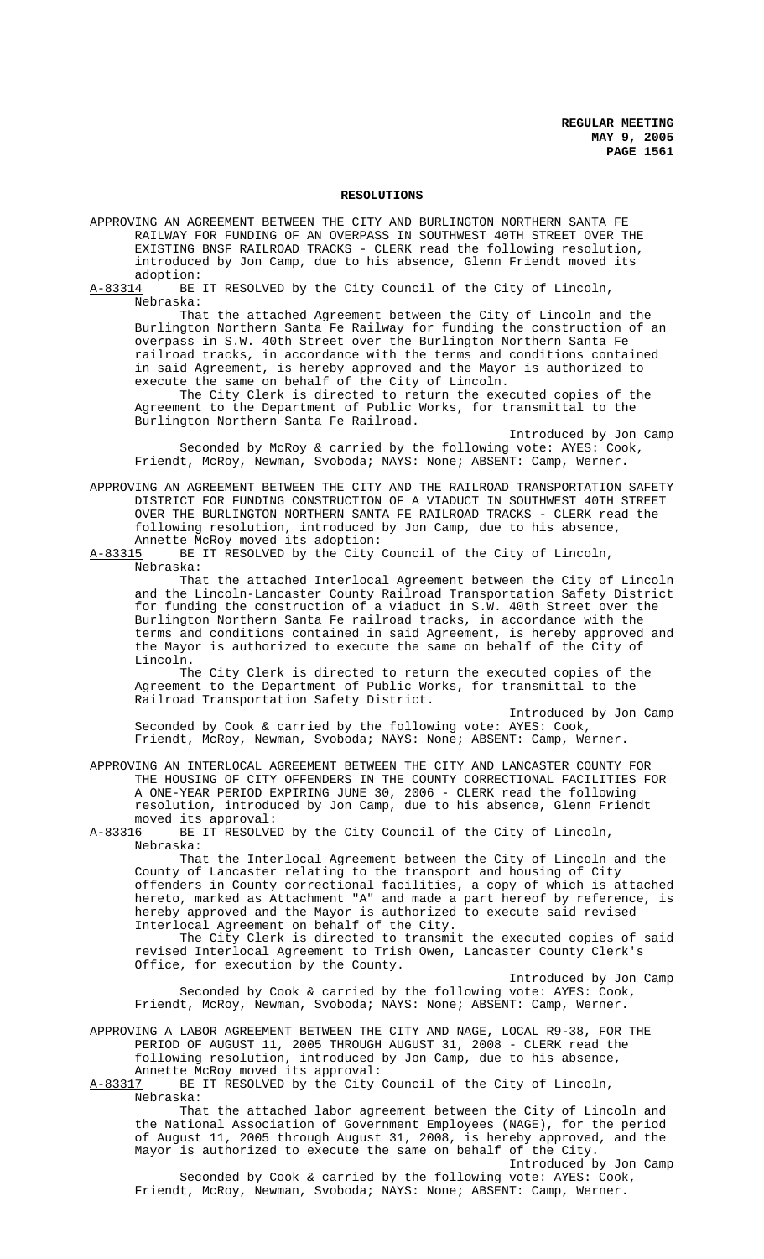#### **RESOLUTIONS**

APPROVING AN AGREEMENT BETWEEN THE CITY AND BURLINGTON NORTHERN SANTA FE RAILWAY FOR FUNDING OF AN OVERPASS IN SOUTHWEST 40TH STREET OVER THE EXISTING BNSF RAILROAD TRACKS - CLERK read the following resolution, introduced by Jon Camp, due to his absence, Glenn Friendt moved its

adoption:<br>A-83314 BE BE IT RESOLVED by the City Council of the City of Lincoln, Nebraska:

That the attached Agreement between the City of Lincoln and the Burlington Northern Santa Fe Railway for funding the construction of an overpass in S.W. 40th Street over the Burlington Northern Santa Fe railroad tracks, in accordance with the terms and conditions contained in said Agreement, is hereby approved and the Mayor is authorized to execute the same on behalf of the City of Lincoln.

The City Clerk is directed to return the executed copies of the Agreement to the Department of Public Works, for transmittal to the Burlington Northern Santa Fe Railroad.

Introduced by Jon Camp Seconded by McRoy & carried by the following vote: AYES: Cook, Friendt, McRoy, Newman, Svoboda; NAYS: None; ABSENT: Camp, Werner.

APPROVING AN AGREEMENT BETWEEN THE CITY AND THE RAILROAD TRANSPORTATION SAFETY DISTRICT FOR FUNDING CONSTRUCTION OF A VIADUCT IN SOUTHWEST 40TH STREET OVER THE BURLINGTON NORTHERN SANTA FE RAILROAD TRACKS - CLERK read the following resolution, introduced by Jon Camp, due to his absence,

Annette McRoy moved its adoption:<br>A-83315 BE IT RESOLVED by the City BE IT RESOLVED by the City Council of the City of Lincoln, Nebraska:

That the attached Interlocal Agreement between the City of Lincoln and the Lincoln-Lancaster County Railroad Transportation Safety District for funding the construction of a viaduct in S.W. 40th Street over the Burlington Northern Santa Fe railroad tracks, in accordance with the terms and conditions contained in said Agreement, is hereby approved and the Mayor is authorized to execute the same on behalf of the City of Lincoln.

The City Clerk is directed to return the executed copies of the Agreement to the Department of Public Works, for transmittal to the Railroad Transportation Safety District.

Introduced by Jon Camp Seconded by Cook & carried by the following vote: AYES: Cook, Friendt, McRoy, Newman, Svoboda; NAYS: None; ABSENT: Camp, Werner.

APPROVING AN INTERLOCAL AGREEMENT BETWEEN THE CITY AND LANCASTER COUNTY FOR THE HOUSING OF CITY OFFENDERS IN THE COUNTY CORRECTIONAL FACILITIES FOR A ONE-YEAR PERIOD EXPIRING JUNE 30, 2006 - CLERK read the following resolution, introduced by Jon Camp, due to his absence, Glenn Friendt moved its approval:<br>A-83316 BE IT RESOLVE

BE IT RESOLVED by the City Council of the City of Lincoln, Nebraska:

That the Interlocal Agreement between the City of Lincoln and the County of Lancaster relating to the transport and housing of City offenders in County correctional facilities, a copy of which is attached hereto, marked as Attachment "A" and made a part hereof by reference, is hereby approved and the Mayor is authorized to execute said revised Interlocal Agreement on behalf of the City.

 The City Clerk is directed to transmit the executed copies of said revised Interlocal Agreement to Trish Owen, Lancaster County Clerk's Office, for execution by the County.

Introduced by Jon Camp Seconded by Cook & carried by the following vote: AYES: Cook, Friendt, McRoy, Newman, Svoboda; NAYS: None; ABSENT: Camp, Werner.

APPROVING A LABOR AGREEMENT BETWEEN THE CITY AND NAGE, LOCAL R9-38, FOR THE PERIOD OF AUGUST 11, 2005 THROUGH AUGUST 31, 2008 - CLERK read the following resolution, introduced by Jon Camp, due to his absence, Annette McRoy moved its approval:

A-83317 BE IT RESOLVED by the City Council of the City of Lincoln, Nebraska:

That the attached labor agreement between the City of Lincoln and the National Association of Government Employees (NAGE), for the period of August 11, 2005 through August 31, 2008, is hereby approved, and the Mayor is authorized to execute the same on behalf of the City. Introduced by Jon Camp

Seconded by Cook & carried by the following vote: AYES: Cook, Friendt, McRoy, Newman, Svoboda; NAYS: None; ABSENT: Camp, Werner.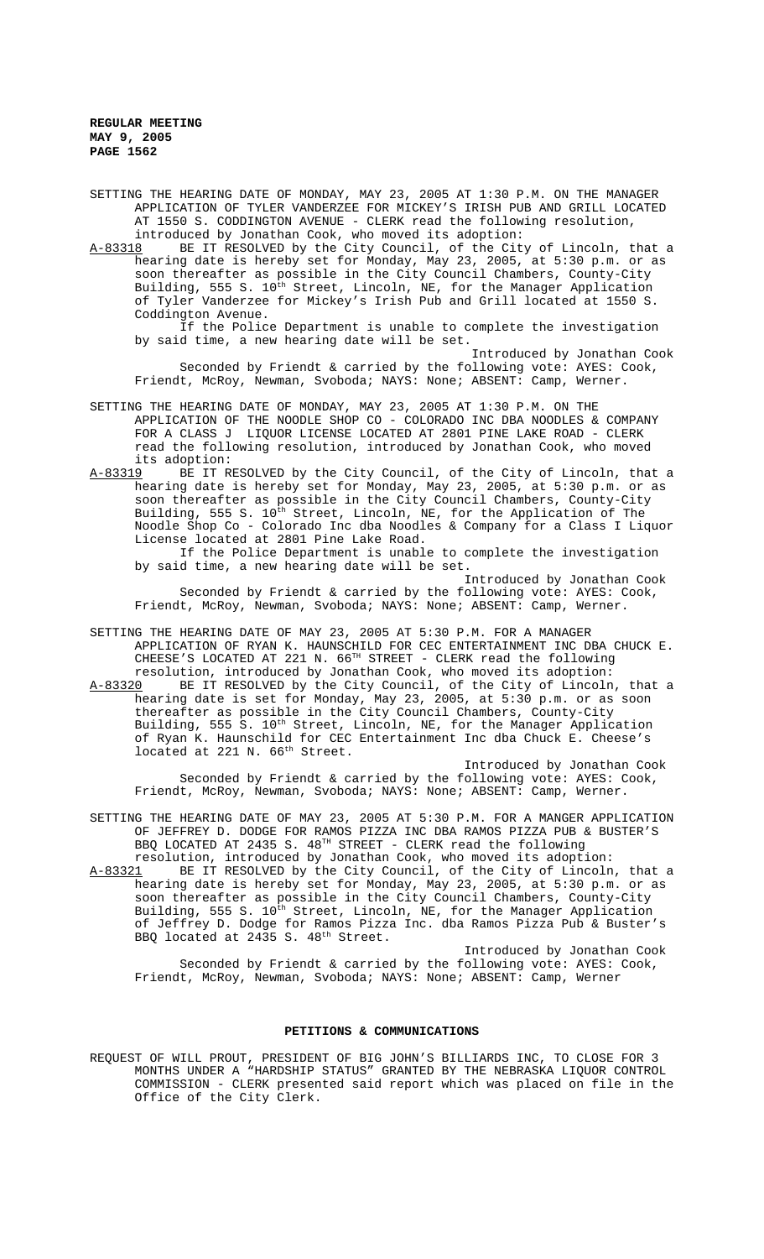**REGULAR MEETING MAY 9, 2005 PAGE 1562**

SETTING THE HEARING DATE OF MONDAY, MAY 23, 2005 AT 1:30 P.M. ON THE MANAGER APPLICATION OF TYLER VANDERZEE FOR MICKEY'S IRISH PUB AND GRILL LOCATED AT 1550 S. CODDINGTON AVENUE - CLERK read the following resolution, introduced by Jonathan Cook, who moved its adoption:<br>A-83318 BE IT RESOLVED by the City Council, of the Cit

BE IT RESOLVED by the City Council, of the City of Lincoln, that a hearing date is hereby set for Monday, May 23, 2005, at 5:30 p.m. or as soon thereafter as possible in the City Council Chambers, County-City Building, 555 S.  $10^{\text{th}}$  Street, Lincoln, NE, for the Manager Application of Tyler Vanderzee for Mickey's Irish Pub and Grill located at 1550 S. Coddington Avenue.

If the Police Department is unable to complete the investigation by said time, a new hearing date will be set.

Introduced by Jonathan Cook Seconded by Friendt & carried by the following vote: AYES: Cook, Friendt, McRoy, Newman, Svoboda; NAYS: None; ABSENT: Camp, Werner.

- SETTING THE HEARING DATE OF MONDAY, MAY 23, 2005 AT 1:30 P.M. ON THE APPLICATION OF THE NOODLE SHOP CO - COLORADO INC DBA NOODLES & COMPANY FOR A CLASS J LIQUOR LICENSE LOCATED AT 2801 PINE LAKE ROAD - CLERK read the following resolution, introduced by Jonathan Cook, who moved its adoption:
- A-83319 BE IT RESOLVED by the City Council, of the City of Lincoln, that a hearing date is hereby set for Monday, May 23, 2005, at 5:30 p.m. or as soon thereafter as possible in the City Council Chambers, County-City Building, 555 S. 10<sup>th</sup> Street, Lincoln, NE, for the Application of The Noodle Shop Co - Colorado Inc dba Noodles & Company for a Class I Liquor License located at 2801 Pine Lake Road.

If the Police Department is unable to complete the investigation by said time, a new hearing date will be set.

Introduced by Jonathan Cook Seconded by Friendt & carried by the following vote: AYES: Cook, Friendt, McRoy, Newman, Svoboda; NAYS: None; ABSENT: Camp, Werner.

SETTING THE HEARING DATE OF MAY 23, 2005 AT 5:30 P.M. FOR A MANAGER APPLICATION OF RYAN K. HAUNSCHILD FOR CEC ENTERTAINMENT INC DBA CHUCK E. CHEESE'S LOCATED AT 221 N. 66<sup>TH</sup> STREET - CLERK read the following resolution, introduced by Jonathan Cook, who moved its adoption:

A-83320 BE IT RESOLVED by the City Council, of the City of Lincoln, that a hearing date is set for Monday, May 23, 2005, at 5:30 p.m. or as soon thereafter as possible in the City Council Chambers, County-City Building, 555 S. 10<sup>th</sup> Street, Lincoln, NE, for the Manager Application of Ryan K. Haunschild for CEC Entertainment Inc dba Chuck E. Cheese's located at 221 N. 66<sup>th</sup> Street.

Introduced by Jonathan Cook Seconded by Friendt & carried by the following vote: AYES: Cook, Friendt, McRoy, Newman, Svoboda; NAYS: None; ABSENT: Camp, Werner.

SETTING THE HEARING DATE OF MAY 23, 2005 AT 5:30 P.M. FOR A MANGER APPLICATION OF JEFFREY D. DODGE FOR RAMOS PIZZA INC DBA RAMOS PIZZA PUB & BUSTER'S BBQ LOCATED AT 2435 S. 48<sup>TH</sup> STREET - CLERK read the following resolution, introduced by Jonathan Cook, who moved its adoption:

A-83321 BE IT RESOLVED by the City Council, of the City of Lincoln, that a hearing date is hereby set for Monday, May 23, 2005, at 5:30 p.m. or as soon thereafter as possible in the City Council Chambers, County-City Building, 555 S. 10<sup>th</sup> Street, Lincoln, NE, for the Manager Application of Jeffrey D. Dodge for Ramos Pizza Inc. dba Ramos Pizza Pub & Buster's BBQ located at 2435 S.  $48^{\text{th}}$  Street.

Introduced by Jonathan Cook Seconded by Friendt & carried by the following vote: AYES: Cook, Friendt, McRoy, Newman, Svoboda; NAYS: None; ABSENT: Camp, Werner

## **PETITIONS & COMMUNICATIONS**

REQUEST OF WILL PROUT, PRESIDENT OF BIG JOHN'S BILLIARDS INC, TO CLOSE FOR 3 MONTHS UNDER A "HARDSHIP STATUS" GRANTED BY THE NEBRASKA LIQUOR CONTROL COMMISSION - CLERK presented said report which was placed on file in the Office of the City Clerk.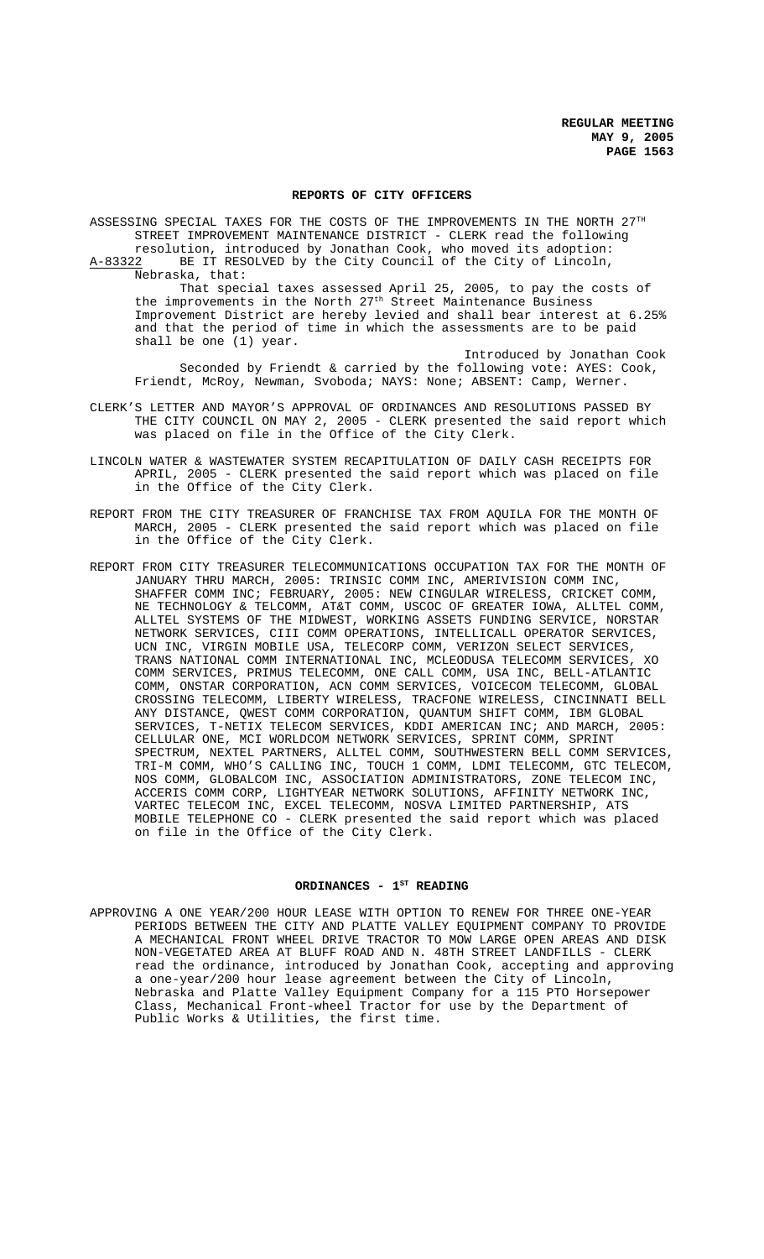#### **REPORTS OF CITY OFFICERS**

ASSESSING SPECIAL TAXES FOR THE COSTS OF THE IMPROVEMENTS IN THE NORTH 27TH STREET IMPROVEMENT MAINTENANCE DISTRICT - CLERK read the following resolution, introduced by Jonathan Cook, who moved its adoption: A-83322 BE IT RESOLVED by the City Council of the City of Lincoln, Nebraska, that: That special taxes assessed April 25, 2005, to pay the costs of

the improvements in the North 27<sup>th</sup> Street Maintenance Business Improvement District are hereby levied and shall bear interest at 6.25% and that the period of time in which the assessments are to be paid shall be one (1) year.

Introduced by Jonathan Cook Seconded by Friendt & carried by the following vote: AYES: Cook, Friendt, McRoy, Newman, Svoboda; NAYS: None; ABSENT: Camp, Werner.

- CLERK'S LETTER AND MAYOR'S APPROVAL OF ORDINANCES AND RESOLUTIONS PASSED BY THE CITY COUNCIL ON MAY 2, 2005 - CLERK presented the said report which was placed on file in the Office of the City Clerk.
- LINCOLN WATER & WASTEWATER SYSTEM RECAPITULATION OF DAILY CASH RECEIPTS FOR APRIL, 2005 - CLERK presented the said report which was placed on file in the Office of the City Clerk.
- REPORT FROM THE CITY TREASURER OF FRANCHISE TAX FROM AQUILA FOR THE MONTH OF MARCH, 2005 - CLERK presented the said report which was placed on file in the Office of the City Clerk.
- REPORT FROM CITY TREASURER TELECOMMUNICATIONS OCCUPATION TAX FOR THE MONTH OF JANUARY THRU MARCH, 2005: TRINSIC COMM INC, AMERIVISION COMM INC, SHAFFER COMM INC; FEBRUARY, 2005: NEW CINGULAR WIRELESS, CRICKET COMM, NE TECHNOLOGY & TELCOMM, AT&T COMM, USCOC OF GREATER IOWA, ALLTEL COMM, ALLTEL SYSTEMS OF THE MIDWEST, WORKING ASSETS FUNDING SERVICE, NORSTAR NETWORK SERVICES, CIII COMM OPERATIONS, INTELLICALL OPERATOR SERVICES, UCN INC, VIRGIN MOBILE USA, TELECORP COMM, VERIZON SELECT SERVICES, TRANS NATIONAL COMM INTERNATIONAL INC, MCLEODUSA TELECOMM SERVICES, XO COMM SERVICES, PRIMUS TELECOMM, ONE CALL COMM, USA INC, BELL-ATLANTIC COMM, ONSTAR CORPORATION, ACN COMM SERVICES, VOICECOM TELECOMM, GLOBAL CROSSING TELECOMM, LIBERTY WIRELESS, TRACFONE WIRELESS, CINCINNATI BELL ANY DISTANCE, QWEST COMM CORPORATION, QUANTUM SHIFT COMM, IBM GLOBAL SERVICES, T-NETIX TELECOM SERVICES, KDDI AMERICAN INC; AND MARCH, 2005: CELLULAR ONE, MCI WORLDCOM NETWORK SERVICES, SPRINT COMM, SPRINT SPECTRUM, NEXTEL PARTNERS, ALLTEL COMM, SOUTHWESTERN BELL COMM SERVICES, TRI-M COMM, WHO'S CALLING INC, TOUCH 1 COMM, LDMI TELECOMM, GTC TELECOM, NOS COMM, GLOBALCOM INC, ASSOCIATION ADMINISTRATORS, ZONE TELECOM INC, ACCERIS COMM CORP, LIGHTYEAR NETWORK SOLUTIONS, AFFINITY NETWORK INC, VARTEC TELECOM INC, EXCEL TELECOMM, NOSVA LIMITED PARTNERSHIP, ATS MOBILE TELEPHONE CO - CLERK presented the said report which was placed on file in the Office of the City Clerk.

# ORDINANCES - 1<sup>st</sup> READING

APPROVING A ONE YEAR/200 HOUR LEASE WITH OPTION TO RENEW FOR THREE ONE-YEAR PERIODS BETWEEN THE CITY AND PLATTE VALLEY EQUIPMENT COMPANY TO PROVIDE A MECHANICAL FRONT WHEEL DRIVE TRACTOR TO MOW LARGE OPEN AREAS AND DISK NON-VEGETATED AREA AT BLUFF ROAD AND N. 48TH STREET LANDFILLS - CLERK read the ordinance, introduced by Jonathan Cook, accepting and approving a one-year/200 hour lease agreement between the City of Lincoln, Nebraska and Platte Valley Equipment Company for a 115 PTO Horsepower Class, Mechanical Front-wheel Tractor for use by the Department of Public Works & Utilities, the first time.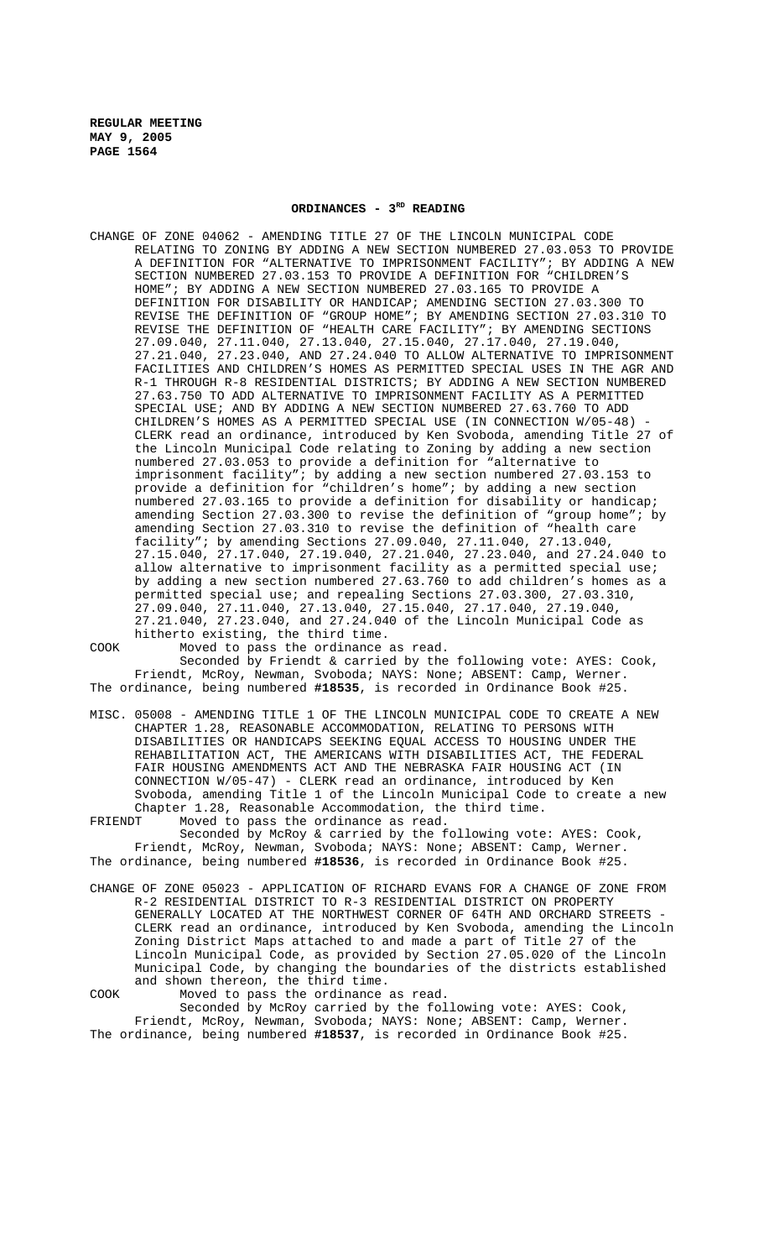**REGULAR MEETING MAY 9, 2005 PAGE 1564**

## ORDINANCES - 3<sup>RD</sup> READING

CHANGE OF ZONE 04062 - AMENDING TITLE 27 OF THE LINCOLN MUNICIPAL CODE RELATING TO ZONING BY ADDING A NEW SECTION NUMBERED 27.03.053 TO PROVIDE A DEFINITION FOR "ALTERNATIVE TO IMPRISONMENT FACILITY"; BY ADDING A NEW SECTION NUMBERED 27.03.153 TO PROVIDE A DEFINITION FOR "CHILDREN'S HOME"; BY ADDING A NEW SECTION NUMBERED 27.03.165 TO PROVIDE A DEFINITION FOR DISABILITY OR HANDICAP; AMENDING SECTION 27.03.300 TO REVISE THE DEFINITION OF "GROUP HOME"; BY AMENDING SECTION 27.03.310 TO REVISE THE DEFINITION OF "HEALTH CARE FACILITY"; BY AMENDING SECTIONS 27.09.040, 27.11.040, 27.13.040, 27.15.040, 27.17.040, 27.19.040, 27.21.040, 27.23.040, AND 27.24.040 TO ALLOW ALTERNATIVE TO IMPRISONMENT FACILITIES AND CHILDREN'S HOMES AS PERMITTED SPECIAL USES IN THE AGR AND R-1 THROUGH R-8 RESIDENTIAL DISTRICTS; BY ADDING A NEW SECTION NUMBERED 27.63.750 TO ADD ALTERNATIVE TO IMPRISONMENT FACILITY AS A PERMITTED SPECIAL USE; AND BY ADDING A NEW SECTION NUMBERED 27.63.760 TO ADD CHILDREN'S HOMES AS A PERMITTED SPECIAL USE (IN CONNECTION W/05-48) CLERK read an ordinance, introduced by Ken Svoboda, amending Title 27 of the Lincoln Municipal Code relating to Zoning by adding a new section numbered 27.03.053 to provide a definition for "alternative to imprisonment facility"; by adding a new section numbered 27.03.153 to provide a definition for "children's home"; by adding a new section numbered 27.03.165 to provide a definition for disability or handicap; amending Section 27.03.300 to revise the definition of "group home"; by amending Section 27.03.310 to revise the definition of "health care facility"; by amending Sections 27.09.040, 27.11.040, 27.13.040, 27.15.040, 27.17.040, 27.19.040, 27.21.040, 27.23.040, and 27.24.040 to allow alternative to imprisonment facility as a permitted special use; by adding a new section numbered 27.63.760 to add children's homes as a permitted special use; and repealing Sections 27.03.300, 27.03.310, 27.09.040, 27.11.040, 27.13.040, 27.15.040, 27.17.040, 27.19.040, 27.21.040, 27.23.040, and 27.24.040 of the Lincoln Municipal Code as hitherto existing, the third time.

COOK Moved to pass the ordinance as read. Seconded by Friendt & carried by the following vote: AYES: Cook, Friendt, McRoy, Newman, Svoboda; NAYS: None; ABSENT: Camp, Werner. The ordinance, being numbered **#18535**, is recorded in Ordinance Book #25.

- MISC. 05008 AMENDING TITLE 1 OF THE LINCOLN MUNICIPAL CODE TO CREATE A NEW CHAPTER 1.28, REASONABLE ACCOMMODATION, RELATING TO PERSONS WITH DISABILITIES OR HANDICAPS SEEKING EQUAL ACCESS TO HOUSING UNDER THE REHABILITATION ACT, THE AMERICANS WITH DISABILITIES ACT, THE FEDERAL FAIR HOUSING AMENDMENTS ACT AND THE NEBRASKA FAIR HOUSING ACT (IN CONNECTION W/05-47) - CLERK read an ordinance, introduced by Ken Svoboda, amending Title 1 of the Lincoln Municipal Code to create a new Chapter 1.28, Reasonable Accommodation, the third time.<br>FRIENDT Moved to pass the ordinance as read.
- Moved to pass the ordinance as read. Seconded by McRoy & carried by the following vote: AYES: Cook, Friendt, McRoy, Newman, Svoboda; NAYS: None; ABSENT: Camp, Werner. The ordinance, being numbered **#18536**, is recorded in Ordinance Book #25.
- CHANGE OF ZONE 05023 APPLICATION OF RICHARD EVANS FOR A CHANGE OF ZONE FROM R-2 RESIDENTIAL DISTRICT TO R-3 RESIDENTIAL DISTRICT ON PROPERTY GENERALLY LOCATED AT THE NORTHWEST CORNER OF 64TH AND ORCHARD STREETS - CLERK read an ordinance, introduced by Ken Svoboda, amending the Lincoln Zoning District Maps attached to and made a part of Title 27 of the Lincoln Municipal Code, as provided by Section 27.05.020 of the Lincoln Municipal Code, by changing the boundaries of the districts established and shown thereon, the third time.

COOK Moved to pass the ordinance as read. Seconded by McRoy carried by the following vote: AYES: Cook, Friendt, McRoy, Newman, Svoboda; NAYS: None; ABSENT: Camp, Werner. The ordinance, being numbered **#18537**, is recorded in Ordinance Book #25.